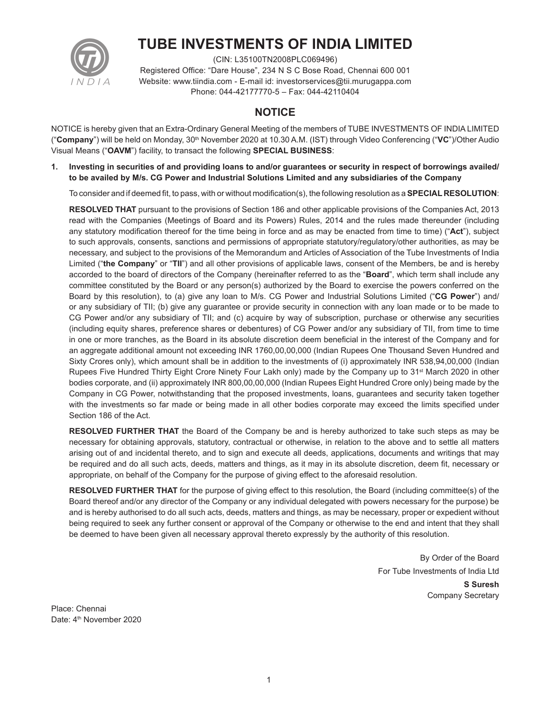

# **TUBE INVESTMENTS OF INDIA LIMITED**

(CIN: L35100TN2008PLC069496) Registered Office: "Dare House", 234 N S C Bose Road, Chennai 600 001 Website: www.tiindia.com - E-mail id: investorservices@tii.murugappa.com Phone: 044-42177770-5 – Fax: 044-42110404

# **NOTICE**

NOTICE is hereby given that an Extra-Ordinary General Meeting of the members of TUBE INVESTMENTS OF INDIA LIMITED ("**Company**") will be held on Monday, 30<sup>th</sup> November 2020 at 10.30 A.M. (IST) through Video Conferencing ("VC")/Other Audio Visual Means ("**OAVM**") facility, to transact the following **SPECIAL BUSINESS**:

**1. Investing in securities of and providing loans to and/or guarantees or security in respect of borrowings availed/ to be availed by M/s. CG Power and Industrial Solutions Limited and any subsidiaries of the Company**

To consider and if deemed fit, to pass, with or without modification(s), the following resolution as a **SPECIAL RESOLUTION**:

 **RESOLVED THAT** pursuant to the provisions of Section 186 and other applicable provisions of the Companies Act, 2013 read with the Companies (Meetings of Board and its Powers) Rules, 2014 and the rules made thereunder (including any statutory modification thereof for the time being in force and as may be enacted from time to time) ("**Act**"), subject to such approvals, consents, sanctions and permissions of appropriate statutory/regulatory/other authorities, as may be necessary, and subject to the provisions of the Memorandum and Articles of Association of the Tube Investments of India Limited ("**the Company**" or "**TII**") and all other provisions of applicable laws, consent of the Members, be and is hereby accorded to the board of directors of the Company (hereinafter referred to as the "**Board**", which term shall include any committee constituted by the Board or any person(s) authorized by the Board to exercise the powers conferred on the Board by this resolution), to (a) give any loan to M/s. CG Power and Industrial Solutions Limited ("**CG Power**") and/ or any subsidiary of TII; (b) give any guarantee or provide security in connection with any loan made or to be made to CG Power and/or any subsidiary of TII; and (c) acquire by way of subscription, purchase or otherwise any securities (including equity shares, preference shares or debentures) of CG Power and/or any subsidiary of TII, from time to time in one or more tranches, as the Board in its absolute discretion deem beneficial in the interest of the Company and for an aggregate additional amount not exceeding INR 1760,00,00,000 (Indian Rupees One Thousand Seven Hundred and Sixty Crores only), which amount shall be in addition to the investments of (i) approximately INR 538,94,00,000 (Indian Rupees Five Hundred Thirty Eight Crore Ninety Four Lakh only) made by the Company up to 31<sup>st</sup> March 2020 in other bodies corporate, and (ii) approximately INR 800,00,00,000 (Indian Rupees Eight Hundred Crore only) being made by the Company in CG Power, notwithstanding that the proposed investments, loans, guarantees and security taken together with the investments so far made or being made in all other bodies corporate may exceed the limits specified under Section 186 of the Act.

 **RESOLVED FURTHER THAT** the Board of the Company be and is hereby authorized to take such steps as may be necessary for obtaining approvals, statutory, contractual or otherwise, in relation to the above and to settle all matters arising out of and incidental thereto, and to sign and execute all deeds, applications, documents and writings that may be required and do all such acts, deeds, matters and things, as it may in its absolute discretion, deem fit, necessary or appropriate, on behalf of the Company for the purpose of giving effect to the aforesaid resolution.

**RESOLVED FURTHER THAT** for the purpose of giving effect to this resolution, the Board (including committee(s) of the Board thereof and/or any director of the Company or any individual delegated with powers necessary for the purpose) be and is hereby authorised to do all such acts, deeds, matters and things, as may be necessary, proper or expedient without being required to seek any further consent or approval of the Company or otherwise to the end and intent that they shall be deemed to have been given all necessary approval thereto expressly by the authority of this resolution.

> By Order of the Board For Tube Investments of India Ltd **S Suresh** Company Secretary

Place: Chennai Date: 4<sup>th</sup> November 2020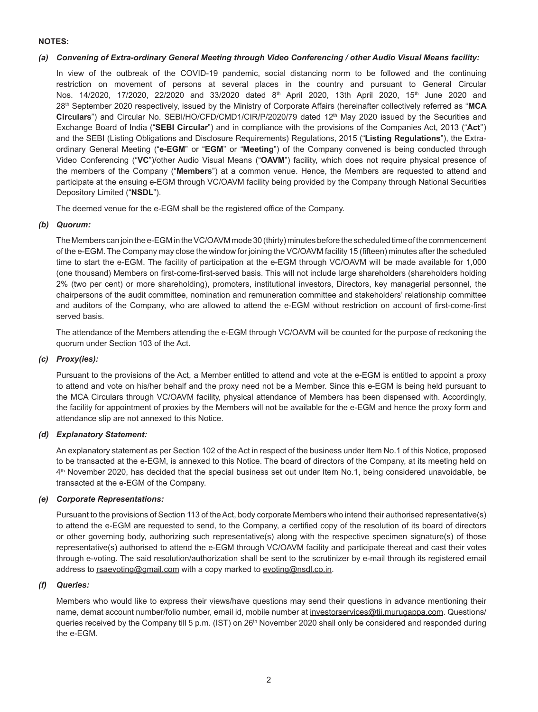## **NOTES:**

#### *(a) Convening of Extra-ordinary General Meeting through Video Conferencing / other Audio Visual Means facility:*

 In view of the outbreak of the COVID-19 pandemic, social distancing norm to be followed and the continuing restriction on movement of persons at several places in the country and pursuant to General Circular Nos. 14/2020, 17/2020, 22/2020 and 33/2020 dated 8<sup>th</sup> April 2020, 13th April 2020, 15<sup>th</sup> June 2020 and 28th September 2020 respectively, issued by the Ministry of Corporate Affairs (hereinafter collectively referred as "**MCA Circulars**") and Circular No. SEBI/HO/CFD/CMD1/CIR/P/2020/79 dated 12th May 2020 issued by the Securities and Exchange Board of India ("**SEBI Circular**") and in compliance with the provisions of the Companies Act, 2013 ("**Act**'') and the SEBI (Listing Obligations and Disclosure Requirements) Regulations, 2015 ("**Listing Regulations**"), the Extraordinary General Meeting ("**e-EGM**" or "**EGM**" or "**Meeting**") of the Company convened is being conducted through Video Conferencing ("**VC**")/other Audio Visual Means ("**OAVM**") facility, which does not require physical presence of the members of the Company ("**Members**") at a common venue. Hence, the Members are requested to attend and participate at the ensuing e-EGM through VC/OAVM facility being provided by the Company through National Securities Depository Limited ("**NSDL**").

The deemed venue for the e-EGM shall be the registered office of the Company.

## *(b) Quorum:*

 The Members can join the e-EGM in the VC/OAVM mode 30 (thirty) minutes before the scheduled time of the commencement of the e-EGM. The Company may close the window for joining the VC/OAVM facility 15 (fifteen) minutes after the scheduled time to start the e-EGM. The facility of participation at the e-EGM through VC/OAVM will be made available for 1,000 (one thousand) Members on first-come-first-served basis. This will not include large shareholders (shareholders holding 2% (two per cent) or more shareholding), promoters, institutional investors, Directors, key managerial personnel, the chairpersons of the audit committee, nomination and remuneration committee and stakeholders' relationship committee and auditors of the Company, who are allowed to attend the e-EGM without restriction on account of first-come-first served basis.

 The attendance of the Members attending the e-EGM through VC/OAVM will be counted for the purpose of reckoning the quorum under Section 103 of the Act.

# *(c) Proxy(ies):*

 Pursuant to the provisions of the Act, a Member entitled to attend and vote at the e-EGM is entitled to appoint a proxy to attend and vote on his/her behalf and the proxy need not be a Member. Since this e-EGM is being held pursuant to the MCA Circulars through VC/OAVM facility, physical attendance of Members has been dispensed with. Accordingly, the facility for appointment of proxies by the Members will not be available for the e-EGM and hence the proxy form and attendance slip are not annexed to this Notice.

#### *(d) Explanatory Statement:*

 An explanatory statement as per Section 102 of the Act in respect of the business under Item No.1 of this Notice, proposed to be transacted at the e-EGM, is annexed to this Notice. The board of directors of the Company, at its meeting held on 4th November 2020, has decided that the special business set out under Item No.1, being considered unavoidable, be transacted at the e-EGM of the Company.

#### *(e) Corporate Representations:*

 Pursuant to the provisions of Section 113 of the Act, body corporate Members who intend their authorised representative(s) to attend the e-EGM are requested to send, to the Company, a certified copy of the resolution of its board of directors or other governing body, authorizing such representative(s) along with the respective specimen signature(s) of those representative(s) authorised to attend the e-EGM through VC/OAVM facility and participate thereat and cast their votes through e-voting. The said resolution/authorization shall be sent to the scrutinizer by e-mail through its registered email address to rsaevoting@gmail.com with a copy marked to evoting@nsdl.co.in.

#### *(f) Queries:*

 Members who would like to express their views/have questions may send their questions in advance mentioning their name, demat account number/folio number, email id, mobile number at investorservices@tii.murugappa.com. Questions/ queries received by the Company till 5 p.m. (IST) on 26<sup>th</sup> November 2020 shall only be considered and responded during the e-EGM.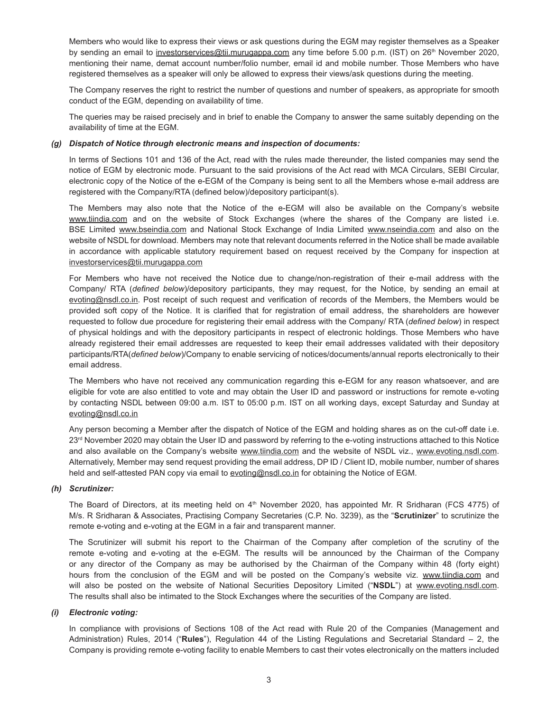Members who would like to express their views or ask questions during the EGM may register themselves as a Speaker by sending an email to investorservices@tii.murugappa.com any time before 5.00 p.m. (IST) on 26<sup>th</sup> November 2020, mentioning their name, demat account number/folio number, email id and mobile number. Those Members who have registered themselves as a speaker will only be allowed to express their views/ask questions during the meeting.

 The Company reserves the right to restrict the number of questions and number of speakers, as appropriate for smooth conduct of the EGM, depending on availability of time.

 The queries may be raised precisely and in brief to enable the Company to answer the same suitably depending on the availability of time at the EGM.

#### *(g) Dispatch of Notice through electronic means and inspection of documents:*

 In terms of Sections 101 and 136 of the Act, read with the rules made thereunder, the listed companies may send the notice of EGM by electronic mode. Pursuant to the said provisions of the Act read with MCA Circulars, SEBI Circular, electronic copy of the Notice of the e-EGM of the Company is being sent to all the Members whose e-mail address are registered with the Company/RTA (defined below)/depository participant(s).

 The Members may also note that the Notice of the e-EGM will also be available on the Company's website www.tiindia.com and on the website of Stock Exchanges (where the shares of the Company are listed i.e. BSE Limited www.bseindia.com and National Stock Exchange of India Limited www.nseindia.com and also on the website of NSDL for download. Members may note that relevant documents referred in the Notice shall be made available in accordance with applicable statutory requirement based on request received by the Company for inspection at investorservices@tii.murugappa.com

 For Members who have not received the Notice due to change/non-registration of their e-mail address with the Company/ RTA (*defined below*)/depository participants, they may request, for the Notice, by sending an email at evoting@nsdl.co.in. Post receipt of such request and verification of records of the Members, the Members would be provided soft copy of the Notice. It is clarified that for registration of email address, the shareholders are however requested to follow due procedure for registering their email address with the Company/ RTA (*defined below*) in respect of physical holdings and with the depository participants in respect of electronic holdings. Those Members who have already registered their email addresses are requested to keep their email addresses validated with their depository participants/RTA(*defined below*)/Company to enable servicing of notices/documents/annual reports electronically to their email address.

 The Members who have not received any communication regarding this e-EGM for any reason whatsoever, and are eligible for vote are also entitled to vote and may obtain the User ID and password or instructions for remote e-voting by contacting NSDL between 09:00 a.m. IST to 05:00 p.m. IST on all working days, except Saturday and Sunday at evoting@nsdl.co.in

 Any person becoming a Member after the dispatch of Notice of the EGM and holding shares as on the cut-off date i.e. 23<sup>rd</sup> November 2020 may obtain the User ID and password by referring to the e-voting instructions attached to this Notice and also available on the Company's website www.tiindia.com and the website of NSDL viz., www.evoting.nsdl.com. Alternatively, Member may send request providing the email address, DP ID / Client ID, mobile number, number of shares held and self-attested PAN copy via email to evoting@nsdl.co.in for obtaining the Notice of EGM.

#### *(h) Scrutinizer:*

The Board of Directors, at its meeting held on  $4<sup>th</sup>$  November 2020, has appointed Mr. R Sridharan (FCS 4775) of M/s. R Sridharan & Associates, Practising Company Secretaries (C.P. No. 3239), as the "**Scrutinizer**" to scrutinize the remote e-voting and e-voting at the EGM in a fair and transparent manner.

 The Scrutinizer will submit his report to the Chairman of the Company after completion of the scrutiny of the remote e-voting and e-voting at the e-EGM. The results will be announced by the Chairman of the Company or any director of the Company as may be authorised by the Chairman of the Company within 48 (forty eight) hours from the conclusion of the EGM and will be posted on the Company's website viz. www.tiindia.com and will also be posted on the website of National Securities Depository Limited ("**NSDL**") at www.evoting.nsdl.com. The results shall also be intimated to the Stock Exchanges where the securities of the Company are listed.

#### *(i) Electronic voting:*

 In compliance with provisions of Sections 108 of the Act read with Rule 20 of the Companies (Management and Administration) Rules, 2014 ("**Rules**"), Regulation 44 of the Listing Regulations and Secretarial Standard – 2, the Company is providing remote e-voting facility to enable Members to cast their votes electronically on the matters included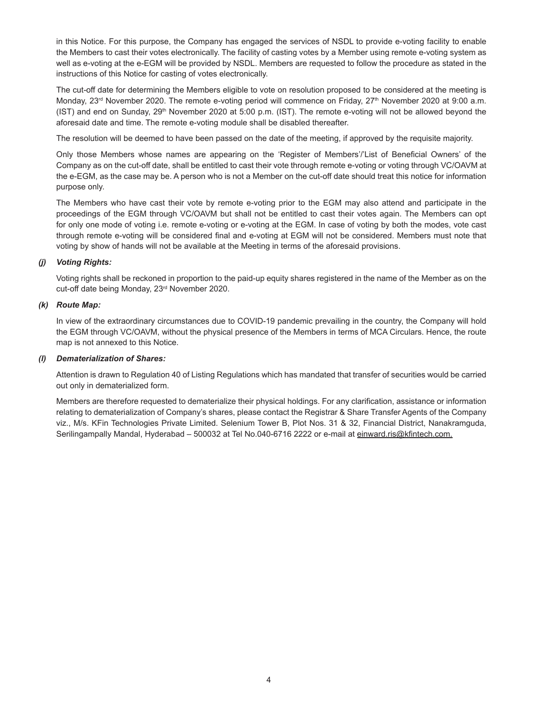in this Notice. For this purpose, the Company has engaged the services of NSDL to provide e-voting facility to enable the Members to cast their votes electronically. The facility of casting votes by a Member using remote e-voting system as well as e-voting at the e-EGM will be provided by NSDL. Members are requested to follow the procedure as stated in the instructions of this Notice for casting of votes electronically.

 The cut-off date for determining the Members eligible to vote on resolution proposed to be considered at the meeting is Monday, 23<sup>rd</sup> November 2020. The remote e-voting period will commence on Friday, 27<sup>th</sup> November 2020 at 9:00 a.m. (IST) and end on Sunday, 29<sup>th</sup> November 2020 at 5:00 p.m. (IST). The remote e-voting will not be allowed beyond the aforesaid date and time. The remote e-voting module shall be disabled thereafter.

The resolution will be deemed to have been passed on the date of the meeting, if approved by the requisite majority.

 Only those Members whose names are appearing on the 'Register of Members'/'List of Beneficial Owners' of the Company as on the cut-off date, shall be entitled to cast their vote through remote e-voting or voting through VC/OAVM at the e-EGM, as the case may be. A person who is not a Member on the cut-off date should treat this notice for information purpose only.

 The Members who have cast their vote by remote e-voting prior to the EGM may also attend and participate in the proceedings of the EGM through VC/OAVM but shall not be entitled to cast their votes again. The Members can opt for only one mode of voting i.e. remote e-voting or e-voting at the EGM. In case of voting by both the modes, vote cast through remote e-voting will be considered final and e-voting at EGM will not be considered. Members must note that voting by show of hands will not be available at the Meeting in terms of the aforesaid provisions.

# *(j) Voting Rights:*

 Voting rights shall be reckoned in proportion to the paid-up equity shares registered in the name of the Member as on the cut-off date being Monday, 23rd November 2020.

# *(k) Route Map:*

 In view of the extraordinary circumstances due to COVID-19 pandemic prevailing in the country, the Company will hold the EGM through VC/OAVM, without the physical presence of the Members in terms of MCA Circulars. Hence, the route map is not annexed to this Notice.

# *(l) Dematerialization of Shares:*

 Attention is drawn to Regulation 40 of Listing Regulations which has mandated that transfer of securities would be carried out only in dematerialized form.

 Members are therefore requested to dematerialize their physical holdings. For any clarification, assistance or information relating to dematerialization of Company's shares, please contact the Registrar & Share Transfer Agents of the Company viz., M/s. KFin Technologies Private Limited. Selenium Tower B, Plot Nos. 31 & 32, Financial District, Nanakramguda, Serilingampally Mandal, Hyderabad - 500032 at Tel No.040-6716 2222 or e-mail at einward.ris@kfintech.com.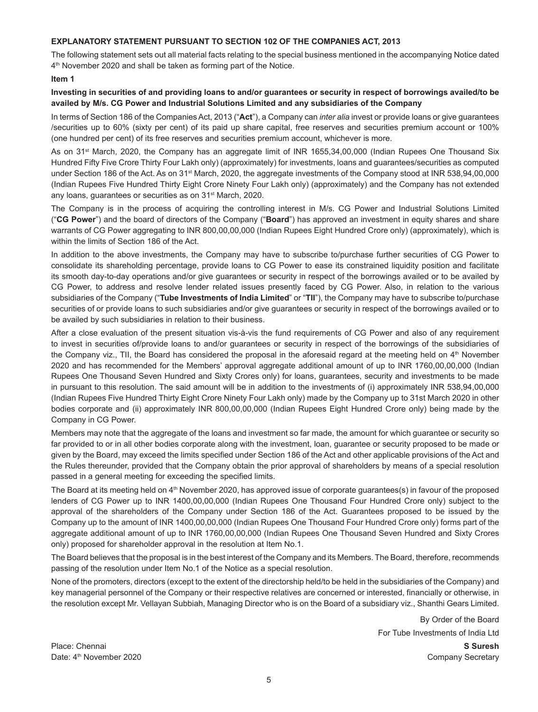# **EXPLANATORY STATEMENT PURSUANT TO SECTION 102 OF THE COMPANIES ACT, 2013**

The following statement sets out all material facts relating to the special business mentioned in the accompanying Notice dated 4<sup>th</sup> November 2020 and shall be taken as forming part of the Notice.

#### **Item 1**

# **Investing in securities of and providing loans to and/or guarantees or security in respect of borrowings availed/to be availed by M/s. CG Power and Industrial Solutions Limited and any subsidiaries of the Company**

In terms of Section 186 of the Companies Act, 2013 ("**Act**"), a Company can *inter alia* invest or provide loans or give guarantees /securities up to 60% (sixty per cent) of its paid up share capital, free reserves and securities premium account or 100% (one hundred per cent) of its free reserves and securities premium account, whichever is more.

As on 31<sup>st</sup> March, 2020, the Company has an aggregate limit of INR 1655,34,00,000 (Indian Rupees One Thousand Six Hundred Fifty Five Crore Thirty Four Lakh only) (approximately) for investments, loans and guarantees/securities as computed under Section 186 of the Act. As on 31<sup>st</sup> March, 2020, the aggregate investments of the Company stood at INR 538,94,00,000 (Indian Rupees Five Hundred Thirty Eight Crore Ninety Four Lakh only) (approximately) and the Company has not extended any loans, quarantees or securities as on 31<sup>st</sup> March, 2020.

The Company is in the process of acquiring the controlling interest in M/s. CG Power and Industrial Solutions Limited ("**CG Power**") and the board of directors of the Company ("**Board**") has approved an investment in equity shares and share warrants of CG Power aggregating to INR 800,00,00,000 (Indian Rupees Eight Hundred Crore only) (approximately), which is within the limits of Section 186 of the Act.

In addition to the above investments, the Company may have to subscribe to/purchase further securities of CG Power to consolidate its shareholding percentage, provide loans to CG Power to ease its constrained liquidity position and facilitate its smooth day-to-day operations and/or give guarantees or security in respect of the borrowings availed or to be availed by CG Power, to address and resolve lender related issues presently faced by CG Power. Also, in relation to the various subsidiaries of the Company ("**Tube Investments of India Limited**" or "**TII**"), the Company may have to subscribe to/purchase securities of or provide loans to such subsidiaries and/or give guarantees or security in respect of the borrowings availed or to be availed by such subsidiaries in relation to their business.

After a close evaluation of the present situation vis-à-vis the fund requirements of CG Power and also of any requirement to invest in securities of/provide loans to and/or guarantees or security in respect of the borrowings of the subsidiaries of the Company viz., TII, the Board has considered the proposal in the aforesaid regard at the meeting held on  $4<sup>th</sup>$  November 2020 and has recommended for the Members' approval aggregate additional amount of up to INR 1760,00,00,000 (Indian Rupees One Thousand Seven Hundred and Sixty Crores only) for loans, guarantees, security and investments to be made in pursuant to this resolution. The said amount will be in addition to the investments of (i) approximately INR 538,94,00,000 (Indian Rupees Five Hundred Thirty Eight Crore Ninety Four Lakh only) made by the Company up to 31st March 2020 in other bodies corporate and (ii) approximately INR 800,00,00,000 (Indian Rupees Eight Hundred Crore only) being made by the Company in CG Power.

Members may note that the aggregate of the loans and investment so far made, the amount for which guarantee or security so far provided to or in all other bodies corporate along with the investment, loan, guarantee or security proposed to be made or given by the Board, may exceed the limits specified under Section 186 of the Act and other applicable provisions of the Act and the Rules thereunder, provided that the Company obtain the prior approval of shareholders by means of a special resolution passed in a general meeting for exceeding the specified limits.

The Board at its meeting held on 4<sup>th</sup> November 2020, has approved issue of corporate guarantees(s) in favour of the proposed lenders of CG Power up to INR 1400,00,00,000 (Indian Rupees One Thousand Four Hundred Crore only) subject to the approval of the shareholders of the Company under Section 186 of the Act. Guarantees proposed to be issued by the Company up to the amount of INR 1400,00,00,000 (Indian Rupees One Thousand Four Hundred Crore only) forms part of the aggregate additional amount of up to INR 1760,00,00,000 (Indian Rupees One Thousand Seven Hundred and Sixty Crores only) proposed for shareholder approval in the resolution at Item No.1.

The Board believes that the proposal is in the best interest of the Company and its Members. The Board, therefore, recommends passing of the resolution under Item No.1 of the Notice as a special resolution.

None of the promoters, directors (except to the extent of the directorship held/to be held in the subsidiaries of the Company) and key managerial personnel of the Company or their respective relatives are concerned or interested, financially or otherwise, in the resolution except Mr. Vellayan Subbiah, Managing Director who is on the Board of a subsidiary viz., Shanthi Gears Limited.

> By Order of the Board For Tube Investments of India Ltd

Place: Chennai **S Suresh** Date: 4<sup>th</sup> November 2020 **Company Secretary** Company Secretary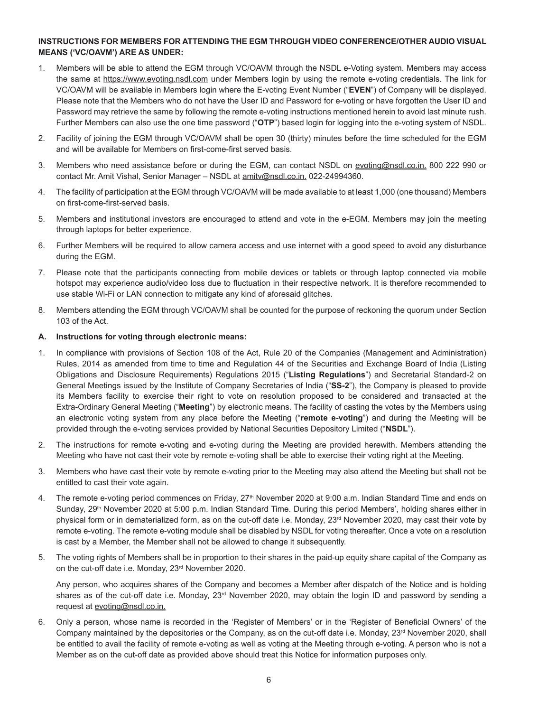# **INSTRUCTIONS FOR MEMBERS FOR ATTENDING THE EGM THROUGH VIDEO CONFERENCE/OTHER AUDIO VISUAL MEANS ('VC/OAVM') ARE AS UNDER:**

- 1. Members will be able to attend the EGM through VC/OAVM through the NSDL e-Voting system. Members may access the same at https://www.evoting.nsdl.com under Members login by using the remote e-voting credentials. The link for VC/OAVM will be available in Members login where the E-voting Event Number ("**EVEN**") of Company will be displayed. Please note that the Members who do not have the User ID and Password for e-voting or have forgotten the User ID and Password may retrieve the same by following the remote e-voting instructions mentioned herein to avoid last minute rush. Further Members can also use the one time password ("**OTP**") based login for logging into the e-voting system of NSDL.
- 2. Facility of joining the EGM through VC/OAVM shall be open 30 (thirty) minutes before the time scheduled for the EGM and will be available for Members on first-come-first served basis.
- 3.Members who need assistance before or during the EGM, can contact NSDL on evoting@nsdl.co.in. 800 222 990 or contact Mr. Amit Vishal, Senior Manager - NSDL at amitv@nsdl.co.in. 022-24994360.
- 4.The facility of participation at the EGM through VC/OAVM will be made available to at least 1,000 (one thousand) Members on first-come-first-served basis.
- 5.Members and institutional investors are encouraged to attend and vote in the e-EGM. Members may join the meeting through laptops for better experience.
- 6. Further Members will be required to allow camera access and use internet with a good speed to avoid any disturbance during the EGM.
- 7. Please note that the participants connecting from mobile devices or tablets or through laptop connected via mobile hotspot may experience audio/video loss due to fluctuation in their respective network. It is therefore recommended to use stable Wi-Fi or LAN connection to mitigate any kind of aforesaid glitches.
- 8. Members attending the EGM through VC/OAVM shall be counted for the purpose of reckoning the quorum under Section 103 of the Act.

#### **A. Instructions for voting through electronic means:**

- 1. In compliance with provisions of Section 108 of the Act, Rule 20 of the Companies (Management and Administration) Rules, 2014 as amended from time to time and Regulation 44 of the Securities and Exchange Board of India (Listing Obligations and Disclosure Requirements) Regulations 2015 ("**Listing Regulations**") and Secretarial Standard-2 on General Meetings issued by the Institute of Company Secretaries of India ("**SS-2**"), the Company is pleased to provide its Members facility to exercise their right to vote on resolution proposed to be considered and transacted at the Extra-Ordinary General Meeting ("**Meeting**") by electronic means. The facility of casting the votes by the Members using an electronic voting system from any place before the Meeting ("**remote e-voting**") and during the Meeting will be provided through the e-voting services provided by National Securities Depository Limited ("**NSDL**").
- 2. The instructions for remote e-voting and e-voting during the Meeting are provided herewith. Members attending the Meeting who have not cast their vote by remote e-voting shall be able to exercise their voting right at the Meeting.
- 3. Members who have cast their vote by remote e-voting prior to the Meeting may also attend the Meeting but shall not be entitled to cast their vote again.
- 4. The remote e-voting period commences on Friday, 27<sup>th</sup> November 2020 at 9:00 a.m. Indian Standard Time and ends on Sunday, 29<sup>th</sup> November 2020 at 5:00 p.m. Indian Standard Time. During this period Members', holding shares either in physical form or in dematerialized form, as on the cut-off date i.e. Monday, 23<sup>rd</sup> November 2020, may cast their vote by remote e-voting. The remote e-voting module shall be disabled by NSDL for voting thereafter. Once a vote on a resolution is cast by a Member, the Member shall not be allowed to change it subsequently.
- 5. The voting rights of Members shall be in proportion to their shares in the paid-up equity share capital of the Company as on the cut-off date i.e. Monday, 23<sup>rd</sup> November 2020.

 Any person, who acquires shares of the Company and becomes a Member after dispatch of the Notice and is holding shares as of the cut-off date i.e. Monday, 23<sup>rd</sup> November 2020, may obtain the login ID and password by sending a request at evoting@nsdl.co.in.

6. Only a person, whose name is recorded in the 'Register of Members' or in the 'Register of Beneficial Owners' of the Company maintained by the depositories or the Company, as on the cut-off date i.e. Monday, 23<sup>rd</sup> November 2020, shall be entitled to avail the facility of remote e-voting as well as voting at the Meeting through e-voting. A person who is not a Member as on the cut-off date as provided above should treat this Notice for information purposes only.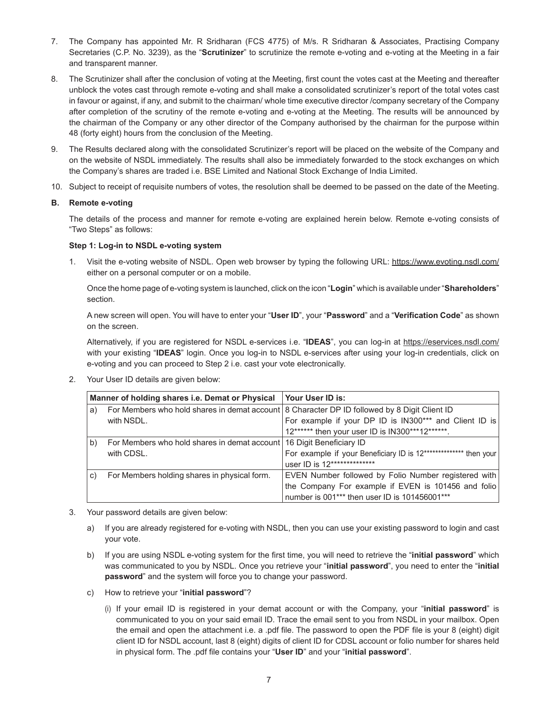- 7. The Company has appointed Mr. R Sridharan (FCS 4775) of M/s. R Sridharan & Associates, Practising Company Secretaries (C.P. No. 3239), as the "**Scrutinizer**" to scrutinize the remote e-voting and e-voting at the Meeting in a fair and transparent manner.
- 8. The Scrutinizer shall after the conclusion of voting at the Meeting, first count the votes cast at the Meeting and thereafter unblock the votes cast through remote e-voting and shall make a consolidated scrutinizer's report of the total votes cast in favour or against, if any, and submit to the chairman/ whole time executive director /company secretary of the Company after completion of the scrutiny of the remote e-voting and e-voting at the Meeting. The results will be announced by the chairman of the Company or any other director of the Company authorised by the chairman for the purpose within 48 (forty eight) hours from the conclusion of the Meeting.
- 9. The Results declared along with the consolidated Scrutinizer's report will be placed on the website of the Company and on the website of NSDL immediately. The results shall also be immediately forwarded to the stock exchanges on which the Company's shares are traded i.e. BSE Limited and National Stock Exchange of India Limited.
- 10. Subject to receipt of requisite numbers of votes, the resolution shall be deemed to be passed on the date of the Meeting.

# **B. Remote e-voting**

 The details of the process and manner for remote e-voting are explained herein below. Remote e-voting consists of "Two Steps" as follows:

# **Step 1: Log-in to NSDL e-voting system**

1. Visit the e-voting website of NSDL. Open web browser by typing the following URL: https://www.evoting.nsdl.com/ either on a personal computer or on a mobile.

 Once the home page of e-voting system is launched, click on the icon "**Login**" which is available under "**Shareholders**" section.

 A new screen will open. You will have to enter your "**User ID**", your "**Password**" and a "**Verification Code**" as shown on the screen.

 Alternatively, if you are registered for NSDL e-services i.e. "**IDEAS**", you can log-in at https://eservices.nsdl.com/ with your existing "**IDEAS**" login. Once you log-in to NSDL e-services after using your log-in credentials, click on e-voting and you can proceed to Step 2 i.e. cast your vote electronically.

2. Your User ID details are given below:

| Manner of holding shares i.e. Demat or Physical |                                                                                                | Your User ID is:                                                 |
|-------------------------------------------------|------------------------------------------------------------------------------------------------|------------------------------------------------------------------|
| a)                                              | For Members who hold shares in demat account   8 Character DP ID followed by 8 Digit Client ID |                                                                  |
|                                                 | with NSDL.                                                                                     | For example if your DP ID is IN300*** and Client ID is           |
|                                                 |                                                                                                | 12****** then your user ID is IN300***12******.                  |
| b)                                              | For Members who hold shares in demat account 16 Digit Beneficiary ID                           |                                                                  |
|                                                 | with CDSL.                                                                                     | For example if your Beneficiary ID is 12************** then your |
|                                                 |                                                                                                | user ID is 12**************                                      |
| C)                                              | For Members holding shares in physical form.                                                   | EVEN Number followed by Folio Number registered with             |
|                                                 |                                                                                                | the Company For example if EVEN is 101456 and folio              |
|                                                 |                                                                                                | number is 001*** then user ID is 101456001***                    |

- 3. Your password details are given below:
	- a) If you are already registered for e-voting with NSDL, then you can use your existing password to login and cast your vote.
	- b) If you are using NSDL e-voting system for the first time, you will need to retrieve the "**initial password**" which was communicated to you by NSDL. Once you retrieve your "**initial password**", you need to enter the "**initial password**" and the system will force you to change your password.
	- c) How to retrieve your "**initial password**"?
		- (i) If your email ID is registered in your demat account or with the Company, your "**initial password**" is communicated to you on your said email ID. Trace the email sent to you from NSDL in your mailbox. Open the email and open the attachment i.e. a .pdf file. The password to open the PDF file is your 8 (eight) digit client ID for NSDL account, last 8 (eight) digits of client ID for CDSL account or folio number for shares held in physical form. The .pdf file contains your "**User ID**" and your "**initial password**".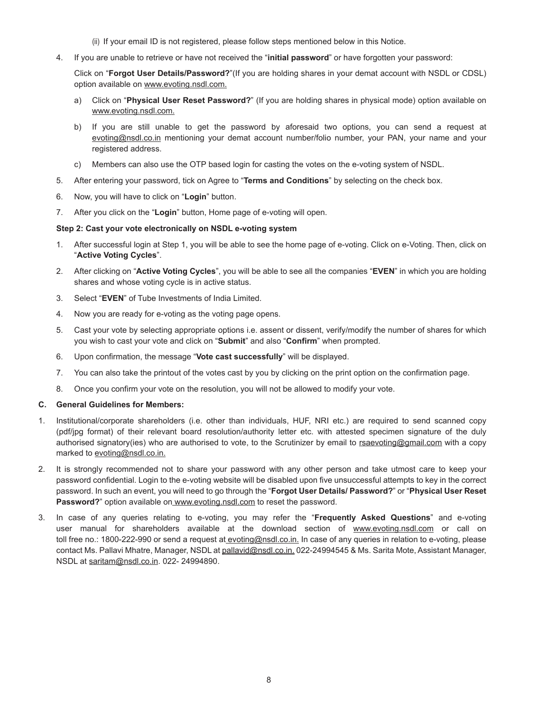- (ii) If your email ID is not registered, please follow steps mentioned below in this Notice.
- 4. If you are unable to retrieve or have not received the "**initial password**" or have forgotten your password:

 Click on "**Forgot User Details/Password?**"(If you are holding shares in your demat account with NSDL or CDSL) option available on www.evoting.nsdl.com.

- a) Click on "**Physical User Reset Password?**" (If you are holding shares in physical mode) option available on www.evoting.nsdl.com.
- b) If you are still unable to get the password by aforesaid two options, you can send a request at evoting@nsdl.co.in mentioning your demat account number/folio number, your PAN, your name and your registered address.
- c) Members can also use the OTP based login for casting the votes on the e-voting system of NSDL.
- 5. After entering your password, tick on Agree to "**Terms and Conditions**" by selecting on the check box.
- 6. Now, you will have to click on "**Login**" button.
- 7. After you click on the "**Login**" button, Home page of e-voting will open.

#### **Step 2: Cast your vote electronically on NSDL e-voting system**

- 1. After successful login at Step 1, you will be able to see the home page of e-voting. Click on e-Voting. Then, click on "**Active Voting Cycles**".
- 2. After clicking on "**Active Voting Cycles**", you will be able to see all the companies "**EVEN**" in which you are holding shares and whose voting cycle is in active status.
- 3. Select "**EVEN**" of Tube Investments of India Limited.
- 4. Now you are ready for e-voting as the voting page opens.
- 5. Cast your vote by selecting appropriate options i.e. assent or dissent, verify/modify the number of shares for which you wish to cast your vote and click on "**Submit**" and also "**Confirm**" when prompted.
- 6. Upon confirmation, the message "**Vote cast successfully**" will be displayed.
- 7. You can also take the printout of the votes cast by you by clicking on the print option on the confirmation page.
- 8. Once you confirm your vote on the resolution, you will not be allowed to modify your vote.

#### **C. General Guidelines for Members:**

- 1. Institutional/corporate shareholders (i.e. other than individuals, HUF, NRI etc.) are required to send scanned copy (pdf/jpg format) of their relevant board resolution/authority letter etc. with attested specimen signature of the duly authorised signatory(ies) who are authorised to vote, to the Scrutinizer by email to rsaevoting@gmail.com with a copy marked to evoting@nsdl.co.in.
- 2. It is strongly recommended not to share your password with any other person and take utmost care to keep your password confidential. Login to the e-voting website will be disabled upon five unsuccessful attempts to key in the correct password. In such an event, you will need to go through the "**Forgot User Details/ Password?**" or "**Physical User Reset**  Password?" option available on www.evoting.nsdl.com to reset the password.
- 3. In case of any queries relating to e-voting, you may refer the "**Frequently Asked Questions**" and e-voting user manual for shareholders available at the download section of www.evoting.nsdl.com or call on toll free no.: 1800-222-990 or send a request at evoting@nsdl.co.in. In case of any queries in relation to e-voting, please contact Ms. Pallavi Mhatre, Manager, NSDL at pallavid@nsdl.co.in. 022-24994545 & Ms. Sarita Mote, Assistant Manager, NSDL at saritam@nsdl.co.in. 022- 24994890.